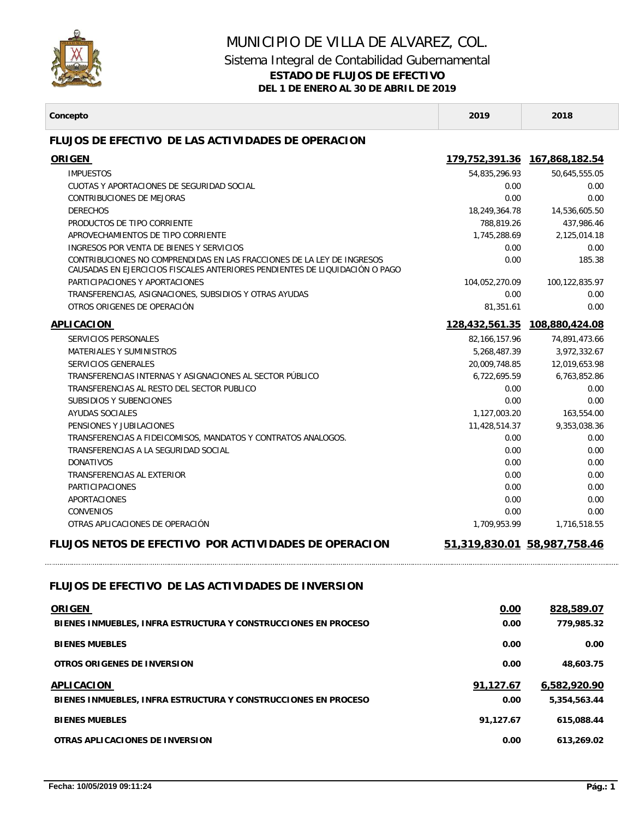

## MUNICIPIO DE VILLA DE ALVAREZ, COL. Sistema Integral de Contabilidad Gubernamental **ESTADO DE FLUJOS DE EFECTIVO DEL 1 DE ENERO AL 30 DE ABRIL DE 2019**

 $\mathbb{R}^n$ 

| Concepto                                                                                                                                              | 2019                        | 2018                       |
|-------------------------------------------------------------------------------------------------------------------------------------------------------|-----------------------------|----------------------------|
| <b>FLUJOS DE EFECTIVO DE LAS ACTIVIDADES DE OPERACION</b>                                                                                             |                             |                            |
| <b>ORIGEN</b>                                                                                                                                         |                             |                            |
| <b>IMPUESTOS</b>                                                                                                                                      | 54,835,296.93               | 50,645,555.05              |
| CUOTAS Y APORTACIONES DE SEGURIDAD SOCIAL                                                                                                             | 0.00                        | 0.00                       |
| CONTRIBUCIONES DE MEJORAS                                                                                                                             | 0.00                        | 0.00                       |
| <b>DERECHOS</b>                                                                                                                                       | 18,249,364.78               | 14,536,605.50              |
| PRODUCTOS DE TIPO CORRIENTE                                                                                                                           | 788,819.26                  | 437.986.46                 |
| APROVECHAMIENTOS DE TIPO CORRIENTE                                                                                                                    | 1,745,288.69                | 2,125,014.18               |
| INGRESOS POR VENTA DE BIENES Y SERVICIOS                                                                                                              | 0.00                        | 0.00                       |
| CONTRIBUCIONES NO COMPRENDIDAS EN LAS FRACCIONES DE LA LEY DE INGRESOS<br>CAUSADAS EN EJERCICIOS FISCALES ANTERIORES PENDIENTES DE LIQUIDACIÓN O PAGO | 0.00                        | 185.38                     |
| PARTICIPACIONES Y APORTACIONES                                                                                                                        | 104,052,270.09              | 100,122,835.97             |
| TRANSFERENCIAS, ASIGNACIONES, SUBSIDIOS Y OTRAS AYUDAS                                                                                                | 0.00                        | 0.00                       |
| OTROS ORIGENES DE OPERACIÓN                                                                                                                           | 81,351.61                   | 0.00                       |
| <b>APLICACION</b>                                                                                                                                     | 128,432,561.35              | 108,880,424.08             |
| SERVICIOS PERSONALES                                                                                                                                  | 82, 166, 157.96             | 74,891,473.66              |
| <b>MATERIALES Y SUMINISTROS</b>                                                                                                                       | 5,268,487.39                | 3,972,332.67               |
| SERVICIOS GENERALES                                                                                                                                   | 20,009,748.85               | 12,019,653.98              |
| TRANSFERENCIAS INTERNAS Y ASIGNACIONES AL SECTOR PÚBLICO                                                                                              | 6.722.695.59                | 6,763,852.86               |
| TRANSFERENCIAS AL RESTO DEL SECTOR PUBLICO                                                                                                            | 0.00                        | 0.00                       |
| SUBSIDIOS Y SUBENCIONES<br><b>AYUDAS SOCIALES</b>                                                                                                     | 0.00                        | 0.00                       |
| PENSIONES Y JUBILACIONES                                                                                                                              | 1,127,003.20                | 163,554.00<br>9,353,038.36 |
| TRANSFERENCIAS A FIDEICOMISOS, MANDATOS Y CONTRATOS ANALOGOS.                                                                                         | 11,428,514.37<br>0.00       | 0.00                       |
| TRANSFERENCIAS A LA SEGURIDAD SOCIAL                                                                                                                  | 0.00                        | 0.00                       |
| <b>DONATIVOS</b>                                                                                                                                      | 0.00                        | 0.00                       |
| TRANSFERENCIAS AL EXTERIOR                                                                                                                            | 0.00                        | 0.00                       |
| <b>PARTICIPACIONES</b>                                                                                                                                | 0.00                        | 0.00                       |
| APORTACIONES                                                                                                                                          | 0.00                        | 0.00                       |
| <b>CONVENIOS</b>                                                                                                                                      | 0.00                        | 0.00                       |
| OTRAS APLICACIONES DE OPERACIÓN                                                                                                                       | 1,709,953.99                | 1,716,518.55               |
| <b>FLUJOS NETOS DE EFECTIVO POR ACTIVIDADES DE OPERACION</b>                                                                                          | 51,319,830.01 58,987,758.46 |                            |
| FLUJOS DE EFECTIVO DE LAS ACTIVIDADES DE INVERSION                                                                                                    |                             |                            |
| <b>ORIGEN</b>                                                                                                                                         | 0.00                        | 828,589.07                 |
| BIENES INMUEBLES, INFRA ESTRUCTURA Y CONSTRUCCIONES EN PROCESO                                                                                        | 0.00                        | 779,985.32                 |
| <b>BIENES MUEBLES</b>                                                                                                                                 | 0.00                        | 0.00                       |
| OTROS ORIGENES DE INVERSION                                                                                                                           | 0.00                        | 48,603.75                  |
| <b>APLICACION</b>                                                                                                                                     | 91,127.67                   | 6,582,920.90               |
| BIENES INMUEBLES, INFRA ESTRUCTURA Y CONSTRUCCIONES EN PROCESO                                                                                        | 0.00                        | 5,354,563.44               |
| <b>BIENES MUEBLES</b>                                                                                                                                 | 91,127.67                   | 615,088.44                 |
| OTRAS APLICACIONES DE INVERSION                                                                                                                       | 0.00                        | 613,269.02                 |
|                                                                                                                                                       |                             |                            |